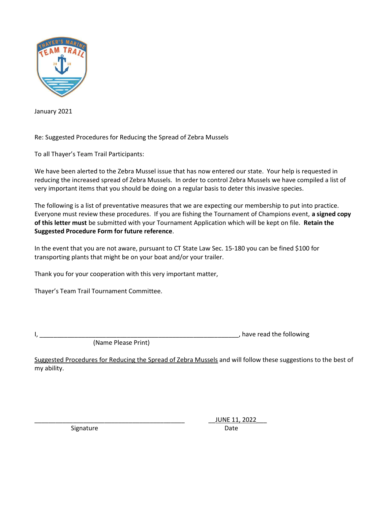

January 2021

Re: Suggested Procedures for Reducing the Spread of Zebra Mussels

To all Thayer's Team Trail Participants:

We have been alerted to the Zebra Mussel issue that has now entered our state. Your help is requested in reducing the increased spread of Zebra Mussels. In order to control Zebra Mussels we have compiled a list of very important items that you should be doing on a regular basis to deter this invasive species.

The following is a list of preventative measures that we are expecting our membership to put into practice. Everyone must review these procedures. If you are fishing the Tournament of Champions event, a signed copy of this letter must be submitted with your Tournament Application which will be kept on file. Retain the Suggested Procedure Form for future reference.

In the event that you are not aware, pursuant to CT State Law Sec. 15-180 you can be fined \$100 for transporting plants that might be on your boat and/or your trailer.

Thank you for your cooperation with this very important matter,

Thayer's Team Trail Tournament Committee.

 $\blacksquare$ 

(Name Please Print)

Suggested Procedures for Reducing the Spread of Zebra Mussels and will follow these suggestions to the best of my ability.

Signature Date Date

\_\_\_\_\_\_\_\_\_\_\_\_\_\_\_\_\_\_\_\_\_\_\_\_\_\_\_\_\_\_\_\_\_\_\_\_\_\_\_\_\_\_\_ \_\_JUNE 11, 2022\_\_\_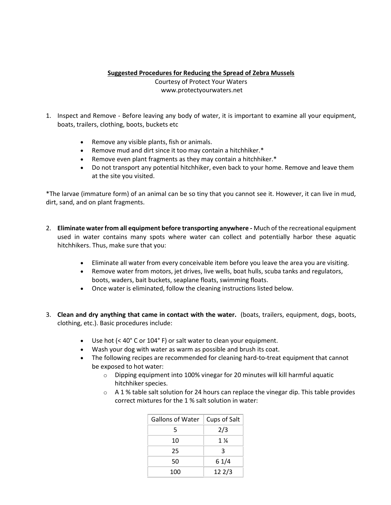## Suggested Procedures for Reducing the Spread of Zebra Mussels

Courtesy of Protect Your Waters

www.protectyourwaters.net

- 1. Inspect and Remove Before leaving any body of water, it is important to examine all your equipment, boats, trailers, clothing, boots, buckets etc
	- Remove any visible plants, fish or animals.
	- Remove mud and dirt since it too may contain a hitchhiker.\*
	- Remove even plant fragments as they may contain a hitchhiker.\*
	- Do not transport any potential hitchhiker, even back to your home. Remove and leave them at the site you visited.

\*The larvae (immature form) of an animal can be so tiny that you cannot see it. However, it can live in mud, dirt, sand, and on plant fragments.

- 2. Eliminate water from all equipment before transporting anywhere Much of the recreational equipment used in water contains many spots where water can collect and potentially harbor these aquatic hitchhikers. Thus, make sure that you:
	- Eliminate all water from every conceivable item before you leave the area you are visiting.
	- Remove water from motors, jet drives, live wells, boat hulls, scuba tanks and regulators, boots, waders, bait buckets, seaplane floats, swimming floats.
	- Once water is eliminated, follow the cleaning instructions listed below.
- 3. Clean and dry anything that came in contact with the water. (boats, trailers, equipment, dogs, boots, clothing, etc.). Basic procedures include:
	- Use hot (< 40° C or 104° F) or salt water to clean your equipment.
	- Wash your dog with water as warm as possible and brush its coat.
	- The following recipes are recommended for cleaning hard-to-treat equipment that cannot be exposed to hot water:
		- o Dipping equipment into 100% vinegar for 20 minutes will kill harmful aquatic hitchhiker species.
		- $\circ$  A 1 % table salt solution for 24 hours can replace the vinegar dip. This table provides correct mixtures for the 1 % salt solution in water:

| Gallons of Water | Cups of Salt     |
|------------------|------------------|
| 5                | 2/3              |
| 10               | $1\,\mathrm{\%}$ |
| 25               | ર                |
| 50               | 61/4             |
| 100              | 122/3            |